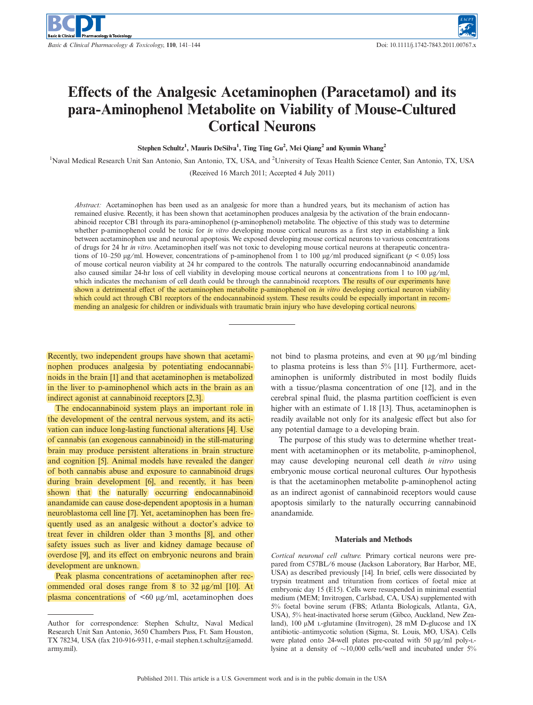# Effects of the Analgesic Acetaminophen (Paracetamol) and its para-Aminophenol Metabolite on Viability of Mouse-Cultured Cortical Neurons

Stephen Schultz<sup>1</sup>, Mauris DeSilva<sup>1</sup>, Ting Ting Gu<sup>2</sup>, Mei Qiang<sup>2</sup> and Kyumin Whang<sup>2</sup>

<sup>1</sup>Naval Medical Research Unit San Antonio, San Antonio, TX, USA, and <sup>2</sup>University of Texas Health Science Center, San Antonio, TX, USA

(Received 16 March 2011; Accepted 4 July 2011)

Abstract: Acetaminophen has been used as an analgesic for more than a hundred years, but its mechanism of action has remained elusive. Recently, it has been shown that acetaminophen produces analgesia by the activation of the brain endocannabinoid receptor CB1 through its para-aminophenol (p-aminophenol) metabolite. The objective of this study was to determine whether p-aminophenol could be toxic for *in vitro* developing mouse cortical neurons as a first step in establishing a link between acetaminophen use and neuronal apoptosis. We exposed developing mouse cortical neurons to various concentrations of drugs for 24 hr in vitro. Acetaminophen itself was not toxic to developing mouse cortical neurons at therapeutic concentrations of 10–250 µg/ml. However, concentrations of p-aminophenol from 1 to 100 µg/ml produced significant ( $p < 0.05$ ) loss of mouse cortical neuron viability at 24 hr compared to the controls. The naturally occurring endocannabinoid anandamide also caused similar 24-hr loss of cell viability in developing mouse cortical neurons at concentrations from 1 to 100  $\mu$ g/ml, which indicates the mechanism of cell death could be through the cannabinoid receptors. The results of our experiments have shown a detrimental effect of the acetaminophen metabolite p-aminophenol on in vitro developing cortical neuron viability which could act through CB1 receptors of the endocannabinoid system. These results could be especially important in recommending an analgesic for children or individuals with traumatic brain injury who have developing cortical neurons.

Recently, two independent groups have shown that acetaminophen produces analgesia by potentiating endocannabinoids in the brain [1] and that acetaminophen is metabolized in the liver to p-aminophenol which acts in the brain as an indirect agonist at cannabinoid receptors [2,3].

The endocannabinoid system plays an important role in the development of the central nervous system, and its activation can induce long-lasting functional alterations [4]. Use of cannabis (an exogenous cannabinoid) in the still-maturing brain may produce persistent alterations in brain structure and cognition [5]. Animal models have revealed the danger of both cannabis abuse and exposure to cannabinoid drugs during brain development [6], and recently, it has been shown that the naturally occurring endocannabinoid anandamide can cause dose-dependent apoptosis in a human neuroblastoma cell line [7]. Yet, acetaminophen has been frequently used as an analgesic without a doctor's advice to treat fever in children older than 3 months [8], and other safety issues such as liver and kidney damage because of overdose [9], and its effect on embryonic neurons and brain development are unknown.

Peak plasma concentrations of acetaminophen after recommended oral doses range from 8 to  $32 \mu g/ml$  [10]. At plasma concentrations of  $\leq 60 \text{ µg/ml}$ , acetaminophen does

not bind to plasma proteins, and even at 90  $\mu$ g/ml binding to plasma proteins is less than 5% [11]. Furthermore, acetaminophen is uniformly distributed in most bodily fluids with a tissue/plasma concentration of one [12], and in the cerebral spinal fluid, the plasma partition coefficient is even higher with an estimate of 1.18 [13]. Thus, acetaminophen is readily available not only for its analgesic effect but also for any potential damage to a developing brain.

The purpose of this study was to determine whether treatment with acetaminophen or its metabolite, p-aminophenol, may cause developing neuronal cell death in vitro using embryonic mouse cortical neuronal cultures. Our hypothesis is that the acetaminophen metabolite p-aminophenol acting as an indirect agonist of cannabinoid receptors would cause apoptosis similarly to the naturally occurring cannabinoid anandamide.

#### Materials and Methods

Cortical neuronal cell culture. Primary cortical neurons were prepared from C57BL/6 mouse (Jackson Laboratory, Bar Harbor, ME, USA) as described previously [14]. In brief, cells were dissociated by trypsin treatment and trituration from cortices of foetal mice at embryonic day 15 (E15). Cells were resuspended in minimal essential medium (MEM; Invitrogen, Carlsbad, CA, USA) supplemented with 5% foetal bovine serum (FBS; Atlanta Biologicals, Atlanta, GA, USA), 5% heat-inactivated horse serum (Gibco, Auckland, New Zealand), 100  $\mu$ M L-glutamine (Invitrogen), 28 mM D-glucose and 1X antibiotic–antimycotic solution (Sigma, St. Louis, MO, USA). Cells were plated onto 24-well plates pre-coated with 50 µg/ml poly-Llysine at a density of  $\sim$ 10,000 cells/well and incubated under 5%

Author for correspondence: Stephen Schultz, Naval Medical Research Unit San Antonio, 3650 Chambers Pass, Ft. Sam Houston, TX 78234, USA (fax 210-916-9311, e-mail stephen.t.schultz@amedd. army.mil).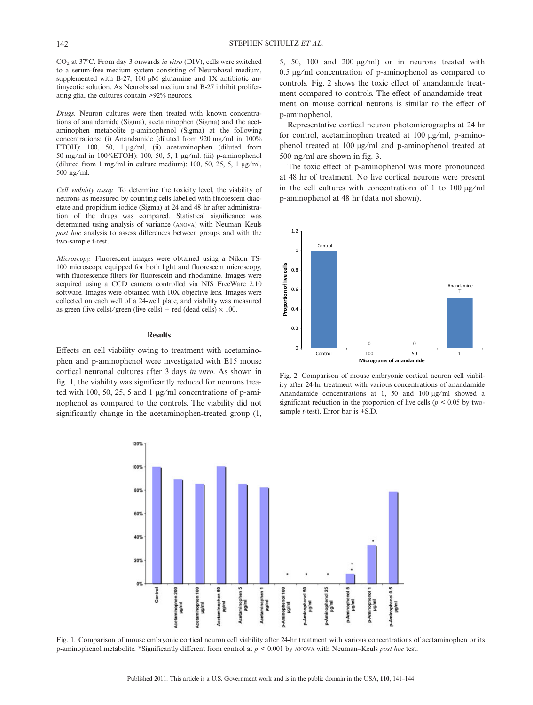$CO<sub>2</sub>$  at 37 $\degree$ C. From day 3 onwards *in vitro* (DIV), cells were switched to a serum-free medium system consisting of Neurobasal medium, supplemented with B-27, 100  $\mu$ M glutamine and 1X antibiotic–antimycotic solution. As Neurobasal medium and B-27 inhibit proliferating glia, the cultures contain >92% neurons.

Drugs. Neuron cultures were then treated with known concentrations of anandamide (Sigma), acetaminophen (Sigma) and the acetaminophen metabolite p-aminophenol (Sigma) at the following concentrations: (i) Anandamide (diluted from 920 mg/ml in 100% ETOH): 100, 50, 1 µg/ml, (ii) acetaminophen (diluted from 50 mg/ml in 100%ETOH): 100, 50, 5, 1 μg/ml. (iii) p-aminophenol (diluted from 1 mg/ml in culture medium): 100, 50, 25, 5, 1  $\mu$ g/ml, 500 ng ⁄ ml.

Cell viability assay. To determine the toxicity level, the viability of neurons as measured by counting cells labelled with fluorescein diacetate and propidium iodide (Sigma) at 24 and 48 hr after administration of the drugs was compared. Statistical significance was determined using analysis of variance (ANOVA) with Neuman–Keuls post hoc analysis to assess differences between groups and with the two-sample t-test.

Microscopy. Fluorescent images were obtained using a Nikon TS-100 microscope equipped for both light and fluorescent microscopy, with fluorescence filters for fluorescein and rhodamine. Images were acquired using a CCD camera controlled via NIS FreeWare 2.10 software. Images were obtained with 10X objective lens. Images were collected on each well of a 24-well plate, and viability was measured as green (live cells)/green (live cells) + red (dead cells)  $\times$  100.

#### **Results**

Effects on cell viability owing to treatment with acetaminophen and p-aminophenol were investigated with E15 mouse cortical neuronal cultures after 3 days in vitro. As shown in fig. 1, the viability was significantly reduced for neurons treated with 100, 50, 25, 5 and 1  $\mu$ g/ml concentrations of p-aminophenol as compared to the controls. The viability did not significantly change in the acetaminophen-treated group (1,

5, 50, 100 and 200  $\mu$ g/ml) or in neurons treated with 0.5  $\mu$ g/ml concentration of p-aminophenol as compared to controls. Fig. 2 shows the toxic effect of anandamide treatment compared to controls. The effect of anandamide treatment on mouse cortical neurons is similar to the effect of p-aminophenol.

Representative cortical neuron photomicrographs at 24 hr for control, acetaminophen treated at  $100 \mu g/ml$ , p-aminophenol treated at 100  $\mu$ g/ml and p-aminophenol treated at 500 ng/ml are shown in fig. 3.

The toxic effect of p-aminophenol was more pronounced at 48 hr of treatment. No live cortical neurons were present in the cell cultures with concentrations of 1 to 100  $\mu$ g/ml p-aminophenol at 48 hr (data not shown).



Fig. 2. Comparison of mouse embryonic cortical neuron cell viability after 24-hr treatment with various concentrations of anandamide Anandamide concentrations at 1, 50 and 100  $\mu$ g/ml showed a significant reduction in the proportion of live cells ( $p < 0.05$  by twosample  $t$ -test). Error bar is  $+$ S.D.



Fig. 1. Comparison of mouse embryonic cortical neuron cell viability after 24-hr treatment with various concentrations of acetaminophen or its p-aminophenol metabolite. \*Significantly different from control at p < 0.001 by anova with Neuman–Keuls post hoc test.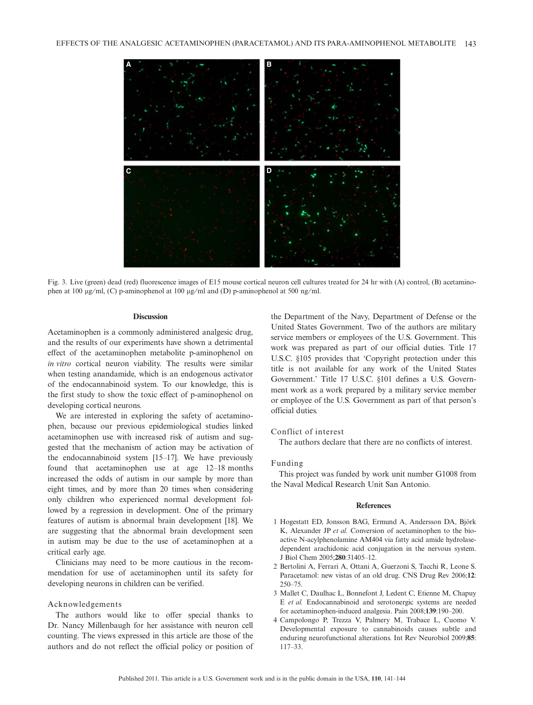

Fig. 3. Live (green) dead (red) fluorescence images of E15 mouse cortical neuron cell cultures treated for 24 hr with (A) control, (B) acetaminophen at 100  $\mu$ g/ml, (C) p-aminophenol at 100  $\mu$ g/ml and (D) p-aminophenol at 500 ng/ml.

#### **Discussion**

Acetaminophen is a commonly administered analgesic drug, and the results of our experiments have shown a detrimental effect of the acetaminophen metabolite p-aminophenol on in vitro cortical neuron viability. The results were similar when testing anandamide, which is an endogenous activator of the endocannabinoid system. To our knowledge, this is the first study to show the toxic effect of p-aminophenol on developing cortical neurons.

We are interested in exploring the safety of acetaminophen, because our previous epidemiological studies linked acetaminophen use with increased risk of autism and suggested that the mechanism of action may be activation of the endocannabinoid system [15–17]. We have previously found that acetaminophen use at age 12–18 months increased the odds of autism in our sample by more than eight times, and by more than 20 times when considering only children who experienced normal development followed by a regression in development. One of the primary features of autism is abnormal brain development [18]. We are suggesting that the abnormal brain development seen in autism may be due to the use of acetaminophen at a critical early age.

Clinicians may need to be more cautious in the recommendation for use of acetaminophen until its safety for developing neurons in children can be verified.

## Acknowledgements

The authors would like to offer special thanks to Dr. Nancy Millenbaugh for her assistance with neuron cell counting. The views expressed in this article are those of the authors and do not reflect the official policy or position of the Department of the Navy, Department of Defense or the United States Government. Two of the authors are military service members or employees of the U.S. Government. This work was prepared as part of our official duties. Title 17 U.S.C. §105 provides that 'Copyright protection under this title is not available for any work of the United States Government.' Title 17 U.S.C. §101 defines a U.S. Government work as a work prepared by a military service member or employee of the U.S. Government as part of that person's official duties.

## Conflict of interest

The authors declare that there are no conflicts of interest.

## Funding

This project was funded by work unit number G1008 from the Naval Medical Research Unit San Antonio.

#### References

- 1 Hogestatt ED, Jonsson BAG, Ermund A, Andersson DA, Björk K, Alexander JP et al. Conversion of acetaminophen to the bioactive N-acylphenolamine AM404 via fatty acid amide hydrolasedependent arachidonic acid conjugation in the nervous system. J Biol Chem 2005;280:31405–12.
- 2 Bertolini A, Ferrari A, Ottani A, Guerzoni S, Tacchi R, Leone S. Paracetamol: new vistas of an old drug. CNS Drug Rev 2006;12: 250–75.
- 3 Mallet C, Daulhac L, Bonnefont J, Ledent C, Etienne M, Chapuy E et al. Endocannabinoid and serotonergic systems are needed for acetaminophen-induced analgesia. Pain 2008;139:190–200.
- 4 Campolongo P, Trezza V, Palmery M, Trabace L, Cuomo V. Developmental exposure to cannabinoids causes subtle and enduring neurofunctional alterations. Int Rev Neurobiol 2009;85: 117–33.